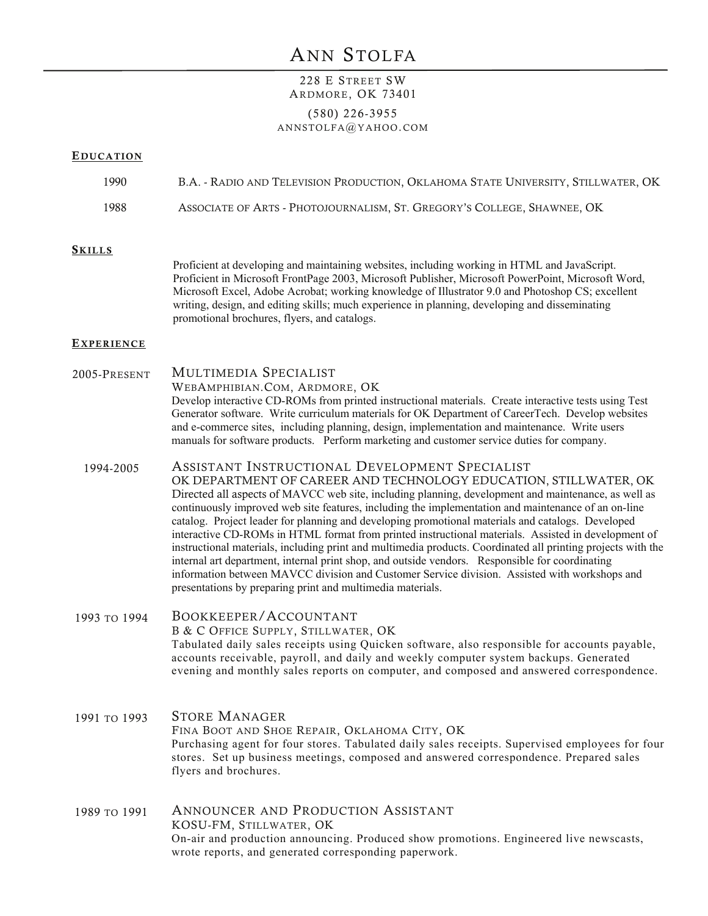# ANN STOLFA

## 228 E STREET SW ARDMORE, OK 73401

### (580) 226-3955 ANNSTOLFA@YAHOO.COM

#### **EDUCATION**

# ASSOCIATE OF ARTS - PHOTOJOURNALISM, ST. GREGORY'S COLLEGE, SHAWNEE, OK 1988 1990 B.A. - RADIO AND TELEVISION PRODUCTION, OKLAHOMA STATE UNIVERSITY, STILLWATER, OK **EXPERIENCE SKILLS** Proficient at developing and maintaining websites, including working in HTML and JavaScript. Proficient in Microsoft FrontPage 2003, Microsoft Publisher, Microsoft PowerPoint, Microsoft Word, Microsoft Excel, Adobe Acrobat; working knowledge of Illustrator 9.0 and Photoshop CS; excellent writing, design, and editing skills; much experience in planning, developing and disseminating promotional brochures, flyers, and catalogs. ASSISTANT INSTRUCTIONAL DEVELOPMENT SPECIALIST OK DEPARTMENT OF CAREER AND TECHNOLOGY EDUCATION, STILLWATER, OK Directed all aspects of MAVCC web site, including planning, development and maintenance, as well as continuously improved web site features, including the implementation and maintenance of an on-line catalog. Project leader for planning and developing promotional materials and catalogs. Developed interactive CD-ROMs in HTML format from printed instructional materials. Assisted in development of instructional materials, including print and multimedia products. Coordinated all printing projects with the internal art department, internal print shop, and outside vendors. Responsible for coordinating information between MAVCC division and Customer Service division. Assisted with workshops and presentations by preparing print and multimedia materials. 1994-2005 BOOKKEEPER/ACCOUNTANT B & C OFFICE SUPPLY, STILLWATER, OK Tabulated daily sales receipts using Quicken software, also responsible for accounts payable, accounts receivable, payroll, and daily and weekly computer system backups. Generated evening and monthly sales reports on computer, and composed and answered correspondence. 1993 TO 1994 STORE MANAGER FINA BOOT AND SHOE REPAIR, OKLAHOMA CITY, OK Purchasing agent for four stores. Tabulated daily sales receipts. Supervised employees for four stores. Set up business meetings, composed and answered correspondence. Prepared sales 1991 TO 1993 MULTIMEDIA SPECIALIST WEBAMPHIBIAN.COM, ARDMORE, OK Develop interactive CD-ROMs from printed instructional materials. Create interactive tests using Test Generator software. Write curriculum materials for OK Department of CareerTech. Develop websites and e-commerce sites, including planning, design, implementation and maintenance. Write users manuals for software products. Perform marketing and customer service duties for company. 2005-PRESENT

ANNOUNCER AND PRODUCTION ASSISTANT KOSU-FM, STILLWATER, OK On-air and production announcing. Produced show promotions. Engineered live newscasts, wrote reports, and generated corresponding paperwork. 1989 TO 1991

flyers and brochures.